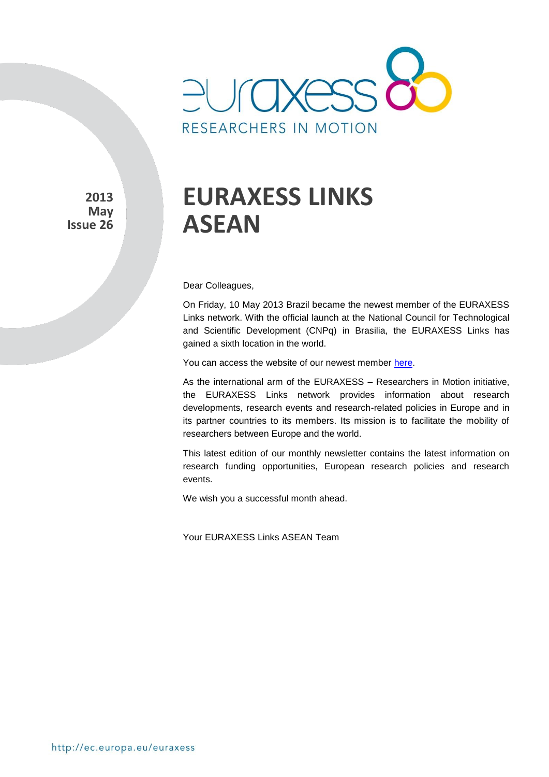

**2013 May Issue 26**

# **EURAXESS LINKS ASEAN**

Dear Colleagues,

On Friday, 10 May 2013 Brazil became the newest member of the EURAXESS Links network. With the official launch at the National Council for Technological and Scientific Development (CNPq) in Brasilia, the EURAXESS Links has gained a sixth location in the world.

You can access the website of our newest member [here.](http://ec.europa.eu/euraxess/links/brazil/index_en.htm)

As the international arm of the EURAXESS – Researchers in Motion initiative, the EURAXESS Links network provides information about research developments, research events and research-related policies in Europe and in its partner countries to its members. Its mission is to facilitate the mobility of researchers between Europe and the world.

This latest edition of our monthly newsletter contains the latest information on research funding opportunities, European research policies and research events.

We wish you a successful month ahead.

Your EURAXESS Links ASEAN Team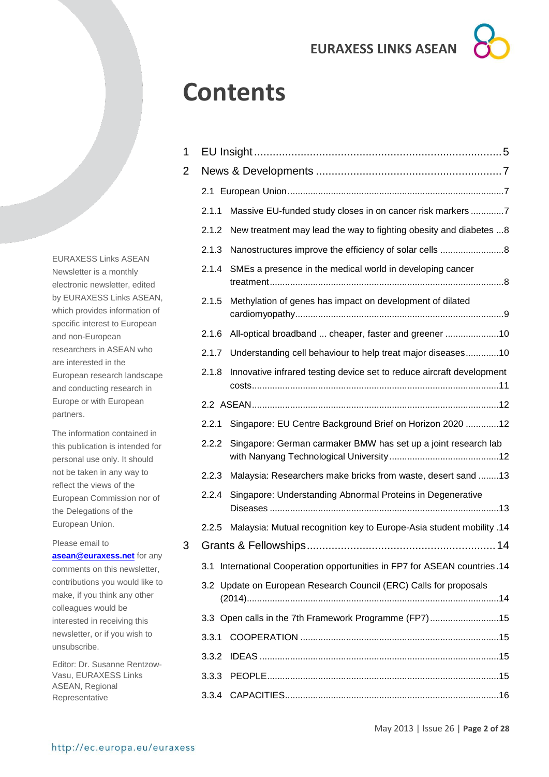# **Contents**

| 1 |       |                                                                       |  |  |  |  |
|---|-------|-----------------------------------------------------------------------|--|--|--|--|
| 2 |       |                                                                       |  |  |  |  |
|   |       |                                                                       |  |  |  |  |
|   | 2.1.1 | Massive EU-funded study closes in on cancer risk markers 7            |  |  |  |  |
|   | 2.1.2 | New treatment may lead the way to fighting obesity and diabetes 8     |  |  |  |  |
|   | 2.1.3 | Nanostructures improve the efficiency of solar cells 8                |  |  |  |  |
|   | 2.1.4 | SMEs a presence in the medical world in developing cancer             |  |  |  |  |
|   | 2.1.5 | Methylation of genes has impact on development of dilated             |  |  |  |  |
|   | 2.1.6 | All-optical broadband  cheaper, faster and greener 10                 |  |  |  |  |
|   | 2.1.7 | Understanding cell behaviour to help treat major diseases10           |  |  |  |  |
|   | 2.1.8 | Innovative infrared testing device set to reduce aircraft development |  |  |  |  |
|   |       |                                                                       |  |  |  |  |
|   | 2.2.1 | Singapore: EU Centre Background Brief on Horizon 2020  12             |  |  |  |  |
|   | 2.2.2 | Singapore: German carmaker BMW has set up a joint research lab        |  |  |  |  |
|   | 2.2.3 | Malaysia: Researchers make bricks from waste, desert sand 13          |  |  |  |  |
|   | 2.2.4 | Singapore: Understanding Abnormal Proteins in Degenerative            |  |  |  |  |
|   | 2.2.5 | Malaysia: Mutual recognition key to Europe-Asia student mobility .14  |  |  |  |  |
| 3 |       |                                                                       |  |  |  |  |
|   | 3.1   | International Cooperation opportunities in FP7 for ASEAN countries.14 |  |  |  |  |
|   |       | 3.2 Update on European Research Council (ERC) Calls for proposals     |  |  |  |  |
|   |       | 3.3 Open calls in the 7th Framework Programme (FP7)15                 |  |  |  |  |
|   | 3.3.1 |                                                                       |  |  |  |  |
|   | 3.3.2 |                                                                       |  |  |  |  |
|   | 3.3.3 |                                                                       |  |  |  |  |
|   |       |                                                                       |  |  |  |  |

EURAXESS Links ASEAN Newsletter is a monthly electronic newsletter, edited by EURAXESS Links ASEAN, which provides information of specific interest to European and non-European researchers in ASEAN who are interested in the European research landscape and conducting research in Europe or with European partners.

The information contained in this publication is intended for personal use only. It should not be taken in any way to reflect the views of the European Commission nor of the Delegations of the European Union.

Please email to

**[asean@euraxess.net](mailto:asean@euraxess.net)** for any comments on this newsletter, contributions you would like to make, if you think any other colleagues would be interested in receiving this newsletter, or if you wish to unsubscribe.

Editor: Dr. Susanne Rentzow-Vasu, EURAXESS Links ASEAN, Regional Representative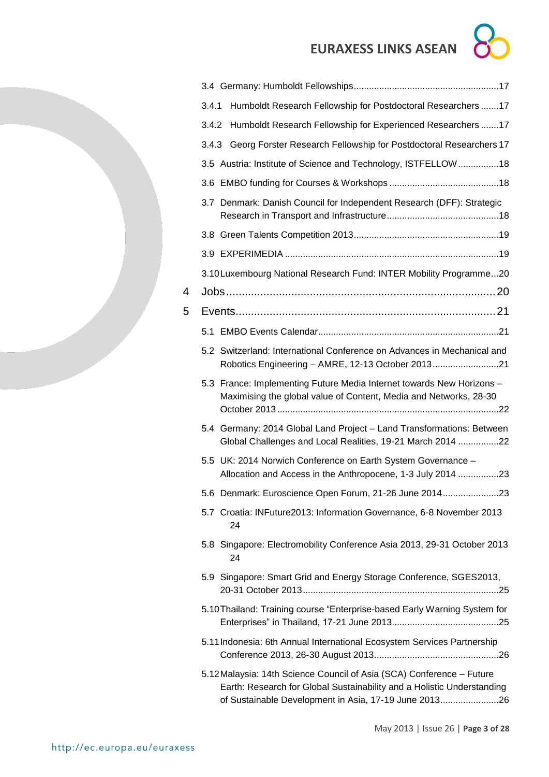

|   | Humboldt Research Fellowship for Postdoctoral Researchers 17<br>3.4.1                                                                                                                                    |  |
|---|----------------------------------------------------------------------------------------------------------------------------------------------------------------------------------------------------------|--|
|   | Humboldt Research Fellowship for Experienced Researchers 17<br>3.4.2                                                                                                                                     |  |
|   | 3.4.3 Georg Forster Research Fellowship for Postdoctoral Researchers 17                                                                                                                                  |  |
|   | 3.5 Austria: Institute of Science and Technology, ISTFELLOW18                                                                                                                                            |  |
|   |                                                                                                                                                                                                          |  |
|   | 3.7 Denmark: Danish Council for Independent Research (DFF): Strategic                                                                                                                                    |  |
|   |                                                                                                                                                                                                          |  |
|   |                                                                                                                                                                                                          |  |
|   | 3.10 Luxembourg National Research Fund: INTER Mobility Programme20                                                                                                                                       |  |
| 4 |                                                                                                                                                                                                          |  |
| 5 |                                                                                                                                                                                                          |  |
|   |                                                                                                                                                                                                          |  |
|   | 5.2 Switzerland: International Conference on Advances in Mechanical and<br>Robotics Engineering - AMRE, 12-13 October 201321                                                                             |  |
|   | 5.3 France: Implementing Future Media Internet towards New Horizons -<br>Maximising the global value of Content, Media and Networks, 28-30                                                               |  |
|   | 5.4 Germany: 2014 Global Land Project - Land Transformations: Between<br>Global Challenges and Local Realities, 19-21 March 2014 22                                                                      |  |
|   | 5.5 UK: 2014 Norwich Conference on Earth System Governance -<br>Allocation and Access in the Anthropocene, 1-3 July 2014 23                                                                              |  |
|   | 5.6 Denmark: Euroscience Open Forum, 21-26 June 201423                                                                                                                                                   |  |
|   | 5.7 Croatia: INFuture2013: Information Governance, 6-8 November 2013<br>24                                                                                                                               |  |
|   | 5.8 Singapore: Electromobility Conference Asia 2013, 29-31 October 2013<br>24                                                                                                                            |  |
|   | 5.9 Singapore: Smart Grid and Energy Storage Conference, SGES2013,                                                                                                                                       |  |
|   | 5.10 Thailand: Training course "Enterprise-based Early Warning System for                                                                                                                                |  |
|   | 5.11 Indonesia: 6th Annual International Ecosystem Services Partnership                                                                                                                                  |  |
|   | 5.12 Malaysia: 14th Science Council of Asia (SCA) Conference - Future<br>Earth: Research for Global Sustainability and a Holistic Understanding<br>of Sustainable Development in Asia, 17-19 June 201326 |  |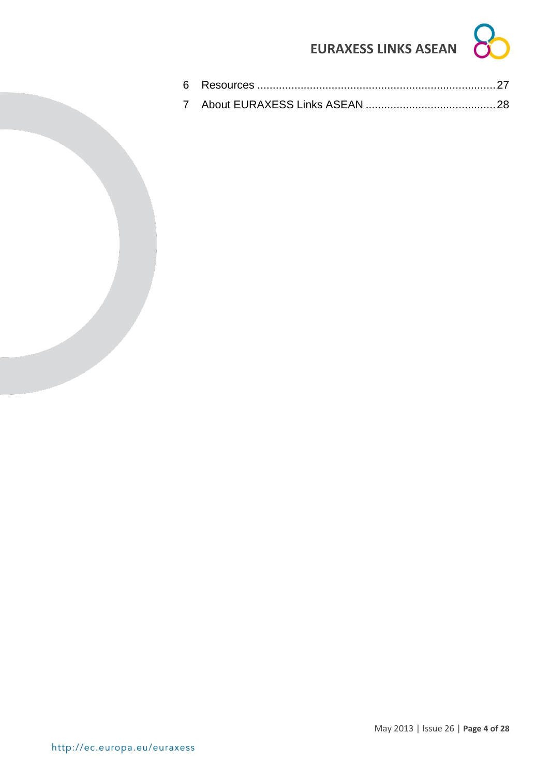<span id="page-3-0"></span>

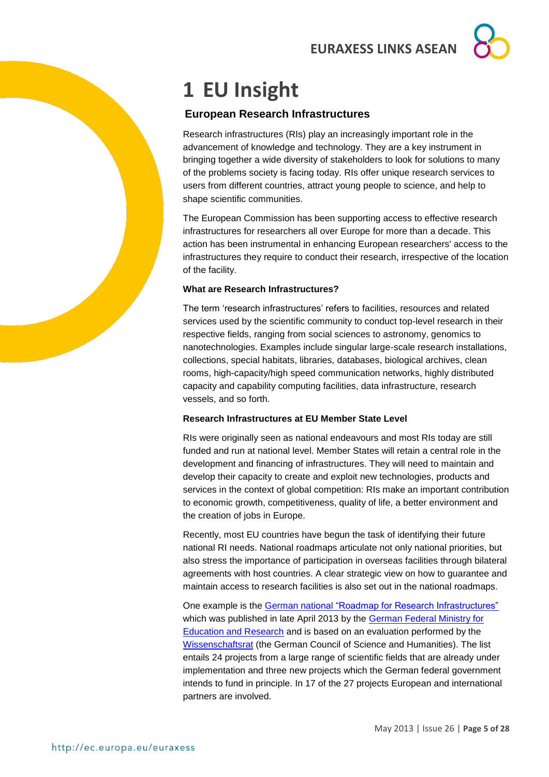# **1 EU Insight**

### **European Research Infrastructures**

Research infrastructures (RIs) play an increasingly important role in the advancement of knowledge and technology. They are a key instrument in bringing together a wide diversity of stakeholders to look for solutions to many of the problems society is facing today. RIs offer unique research services to users from different countries, attract young people to science, and help to shape scientific communities.

The European Commission has been supporting access to effective research infrastructures for researchers all over Europe for more than a decade. This action has been instrumental in enhancing European researchers' access to the infrastructures they require to conduct their research, irrespective of the location of the facility.

#### **What are Research Infrastructures?**

The term 'research infrastructures' refers to facilities, resources and related services used by the scientific community to conduct top-level research in their respective fields, ranging from social sciences to astronomy, genomics to nanotechnologies. Examples include singular large-scale research installations, collections, special habitats, libraries, databases, biological archives, clean rooms, high-capacity/high speed communication networks, highly distributed capacity and capability computing facilities, data infrastructure, research vessels, and so forth.

#### **Research Infrastructures at EU Member State Level**

RIs were originally seen as national endeavours and most RIs today are still funded and run at national level. Member States will retain a central role in the development and financing of infrastructures. They will need to maintain and develop their capacity to create and exploit new technologies, products and services in the context of global competition: RIs make an important contribution to economic growth, competitiveness, quality of life, a better environment and the creation of jobs in Europe.

Recently, most EU countries have begun the task of identifying their future national RI needs. National roadmaps articulate not only national priorities, but also stress the importance of participation in overseas facilities through bilateral agreements with host countries. A clear strategic view on how to guarantee and maintain access to research facilities is also set out in the national roadmaps.

One example is the [German national "Roadmap for Research Infrastructures"](http://www.bmbf.de/pub/Roadmap.pdf) which was published in late April 2013 by the [German Federal Ministry for](http://www.bmbf.de/en/index.php)  [Education and Research](http://www.bmbf.de/en/index.php) and is based on an evaluation performed by the [Wissenschaftsrat](http://www.wissenschaftsrat.de/en/home.html) (the German Council of Science and Humanities). The list entails 24 projects from a large range of scientific fields that are already under implementation and three new projects which the German federal government intends to fund in principle. In 17 of the 27 projects European and international partners are involved.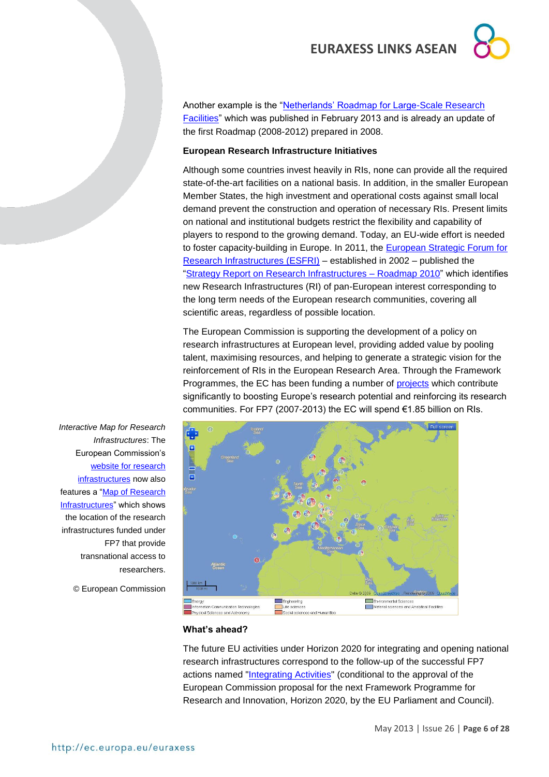Another example is the ["Netherlands' Roadmap for Large-Scale Research](http://ec.europa.eu/research/infrastructures/pdf/roadmap_research_infrastructures_the_netherlands_2012.pdf#view=fit&pagemode=none)  [Facilities"](http://ec.europa.eu/research/infrastructures/pdf/roadmap_research_infrastructures_the_netherlands_2012.pdf#view=fit&pagemode=none) which was published in February 2013 and is already an update of the first Roadmap (2008-2012) prepared in 2008.

#### **European Research Infrastructure Initiatives**

Although some countries invest heavily in RIs, none can provide all the required state-of-the-art facilities on a national basis. In addition, in the smaller European Member States, the high investment and operational costs against small local demand prevent the construction and operation of necessary RIs. Present limits on national and institutional budgets restrict the flexibility and capability of players to respond to the growing demand. Today, an EU-wide effort is needed to foster capacity-building in Europe. In 2011, the [European Strategic Forum for](http://ec.europa.eu/research/infrastructures/index_en.cfm?pg=esfri)  [Research Infrastructures \(ESFRI\)](http://ec.europa.eu/research/infrastructures/index_en.cfm?pg=esfri) – established in 2002 – published the ["Strategy Report on Research Infrastructures –](http://ec.europa.eu/research/infrastructures/pdf/esfri-strategy_report_and_roadmap.pdf#view=fit&pagemode=none) Roadmap 2010" which identifies new Research Infrastructures (RI) of pan-European interest corresponding to the long term needs of the European research communities, covering all scientific areas, regardless of possible location.

The European Commission is supporting the development of a policy on research infrastructures at European level, providing added value by pooling talent, maximising resources, and helping to generate a strategic vision for the reinforcement of RIs in the European Research Area. Through the Framework Programmes, the EC has been funding a number of [projects](http://ec.europa.eu/research/infrastructures/index_en.cfm?pg=ri_projects_fp7) which contribute significantly to boosting Europe's research potential and reinforcing its research communities. For FP7 (2007-2013) the EC will spend €1.85 billion on RIs.



*Interactive Map for Research Infrastructures*: The European Commission's [website for research](http://ec.europa.eu/research/infrastructures/index_en.cfm)  [infrastructures](http://ec.europa.eu/research/infrastructures/index_en.cfm) now also features a ["Map of Research](http://ec.europa.eu/research/infrastructures/index_en.cfm?pg=mapri)  [Infrastructures"](http://ec.europa.eu/research/infrastructures/index_en.cfm?pg=mapri) which shows the location of the research infrastructures funded under FP7 that provide transnational access to researchers.

© European Commission

#### **What's ahead?**

The future EU activities under Horizon 2020 for integrating and opening national research infrastructures correspond to the follow-up of the successful FP7 actions named ["Integrating Activities"](http://ec.europa.eu/research/infrastructures/index_en.cfm?pg=existing_infra) (conditional to the approval of the European Commission proposal for the next Framework Programme for Research and Innovation, Horizon 2020, by the EU Parliament and Council).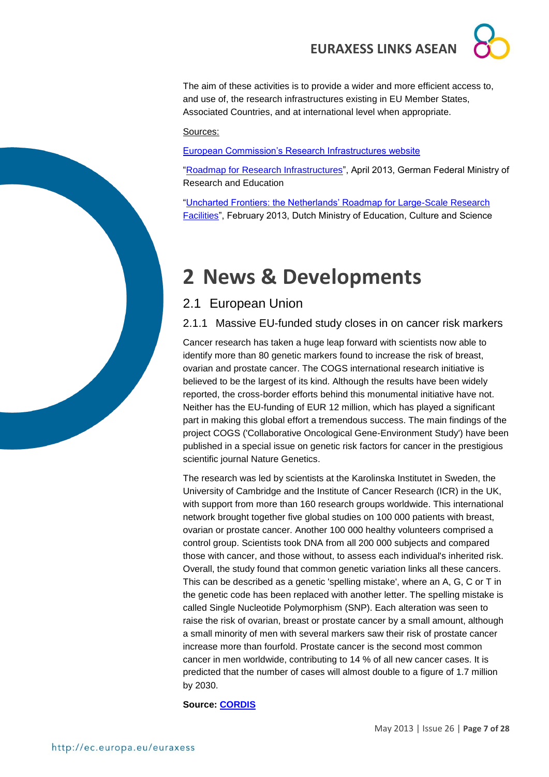The aim of these activities is to provide a wider and more efficient access to, and use of, the research infrastructures existing in EU Member States, Associated Countries, and at international level when appropriate.

Sources:

[European Commission's Research Infrastructures website](http://ec.europa.eu/research/infrastructures/index_en.cfm?pg=home)

["Roadmap for Research Infrastructures"](http://www.bmbf.de/pub/Roadmap.pdf), April 2013, German Federal Ministry of Research and Education

["Uncharted Frontiers: the Netherlands' Roadmap for Large-Scale Research](http://ec.europa.eu/research/infrastructures/pdf/roadmap_research_infrastructures_the_netherlands_2012.pdf#view=fit&pagemode=none)  [Facilities"](http://ec.europa.eu/research/infrastructures/pdf/roadmap_research_infrastructures_the_netherlands_2012.pdf#view=fit&pagemode=none), February 2013, Dutch Ministry of Education, Culture and Science

# <span id="page-6-0"></span>**2 News & Developments**

### <span id="page-6-1"></span>2.1 European Union

<span id="page-6-2"></span>2.1.1 Massive EU-funded study closes in on cancer risk markers

Cancer research has taken a huge leap forward with scientists now able to identify more than 80 genetic markers found to increase the risk of breast, ovarian and prostate cancer. The COGS international research initiative is believed to be the largest of its kind. Although the results have been widely reported, the cross-border efforts behind this monumental initiative have not. Neither has the EU-funding of EUR 12 million, which has played a significant part in making this global effort a tremendous success. The main findings of the project COGS ('Collaborative Oncological Gene-Environment Study') have been published in a special issue on genetic risk factors for cancer in the prestigious scientific journal Nature Genetics.

The research was led by scientists at the Karolinska Institutet in Sweden, the University of Cambridge and the Institute of Cancer Research (ICR) in the UK, with support from more than 160 research groups worldwide. This international network brought together five global studies on 100 000 patients with breast, ovarian or prostate cancer. Another 100 000 healthy volunteers comprised a control group. Scientists took DNA from all 200 000 subjects and compared those with cancer, and those without, to assess each individual's inherited risk. Overall, the study found that common genetic variation links all these cancers. This can be described as a genetic 'spelling mistake', where an A, G, C or T in the genetic code has been replaced with another letter. The spelling mistake is called Single Nucleotide Polymorphism (SNP). Each alteration was seen to raise the risk of ovarian, breast or prostate cancer by a small amount, although a small minority of men with several markers saw their risk of prostate cancer increase more than fourfold. Prostate cancer is the second most common cancer in men worldwide, contributing to 14 % of all new cancer cases. It is predicted that the number of cases will almost double to a figure of 1.7 million by 2030.

**Source: [CORDIS](http://cordis.europa.eu/fetch?CALLER=EN_NEWS&ACTION=D&SESSION=&RCN=35723)**

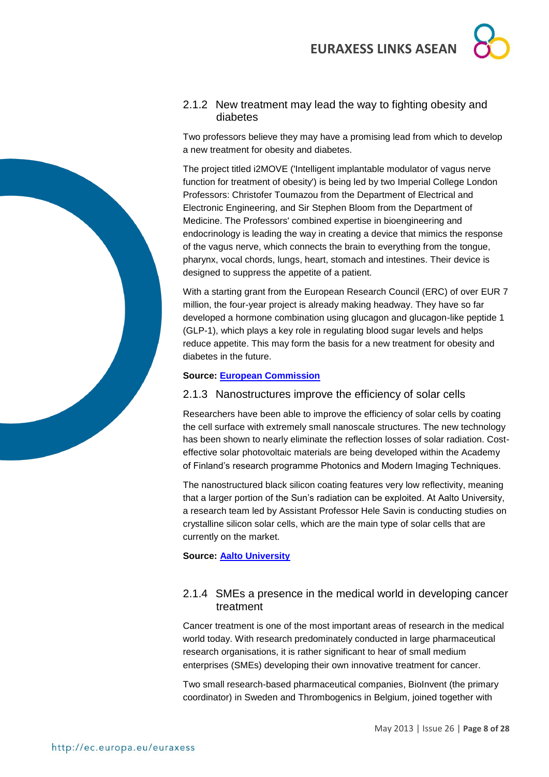



#### <span id="page-7-0"></span>2.1.2 New treatment may lead the way to fighting obesity and diabetes

Two professors believe they may have a promising lead from which to develop a new treatment for obesity and diabetes.

The project titled i2MOVE ('Intelligent implantable modulator of vagus nerve function for treatment of obesity') is being led by two Imperial College London Professors: Christofer Toumazou from the Department of Electrical and Electronic Engineering, and Sir Stephen Bloom from the Department of Medicine. The Professors' combined expertise in bioengineering and endocrinology is leading the way in creating a device that mimics the response of the vagus nerve, which connects the brain to everything from the tongue, pharynx, vocal chords, lungs, heart, stomach and intestines. Their device is designed to suppress the appetite of a patient.

With a starting grant from the European Research Council (ERC) of over EUR 7 million, the four-year project is already making headway. They have so far developed a hormone combination using glucagon and glucagon-like peptide 1 (GLP-1), which plays a key role in regulating blood sugar levels and helps reduce appetite. This may form the basis for a new treatment for obesity and diabetes in the future.

#### **Source: [European Commission](http://ec.europa.eu/research/infocentre/article_en.cfm?id=/research/headlines/news/article_13_05_16_en.html&item=Infocentre&artid=30013)**

### <span id="page-7-1"></span>2.1.3 Nanostructures improve the efficiency of solar cells

Researchers have been able to improve the efficiency of solar cells by coating the cell surface with extremely small nanoscale structures. The new technology has been shown to nearly eliminate the reflection losses of solar radiation. Costeffective solar photovoltaic materials are being developed within the Academy of Finland's research programme Photonics and Modern Imaging Techniques.

The nanostructured black silicon coating features very low reflectivity, meaning that a larger portion of the Sun's radiation can be exploited. At Aalto University, a research team led by Assistant Professor Hele Savin is conducting studies on crystalline silicon solar cells, which are the main type of solar cells that are currently on the market.

#### **Source: [Aalto University](http://www.aka.fi/en-GB/A/Academy-of-Finland/Media-services/Releases1/Nanostructures-improve-the-efficiency-of-solar-cells/)**

### <span id="page-7-2"></span>2.1.4 SMEs a presence in the medical world in developing cancer treatment

Cancer treatment is one of the most important areas of research in the medical world today. With research predominately conducted in large pharmaceutical research organisations, it is rather significant to hear of small medium enterprises (SMEs) developing their own innovative treatment for cancer.

Two small research-based pharmaceutical companies, BioInvent (the primary coordinator) in Sweden and Thrombogenics in Belgium, joined together with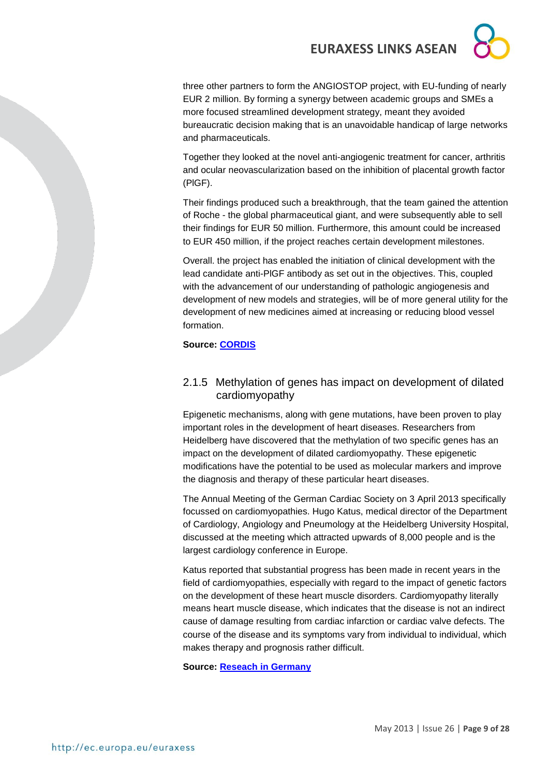three other partners to form the ANGIOSTOP project, with EU-funding of nearly EUR 2 million. By forming a synergy between academic groups and SMEs a more focused streamlined development strategy, meant they avoided bureaucratic decision making that is an unavoidable handicap of large networks and pharmaceuticals.

Together they looked at the novel anti-angiogenic treatment for cancer, arthritis and ocular neovascularization based on the inhibition of placental growth factor (PlGF).

Their findings produced such a breakthrough, that the team gained the attention of Roche - the global pharmaceutical giant, and were subsequently able to sell their findings for EUR 50 million. Furthermore, this amount could be increased to EUR 450 million, if the project reaches certain development milestones.

Overall. the project has enabled the initiation of clinical development with the lead candidate anti-PlGF antibody as set out in the objectives. This, coupled with the advancement of our understanding of pathologic angiogenesis and development of new models and strategies, will be of more general utility for the development of new medicines aimed at increasing or reducing blood vessel formation.

#### **Source: [CORDIS](http://cordis.europa.eu/fetch?CALLER=EN_NEWS&ACTION=D&SESSION=&RCN=35719)**

#### <span id="page-8-0"></span>2.1.5 Methylation of genes has impact on development of dilated cardiomyopathy

Epigenetic mechanisms, along with gene mutations, have been proven to play important roles in the development of heart diseases. Researchers from Heidelberg have discovered that the methylation of two specific genes has an impact on the development of dilated cardiomyopathy. These epigenetic modifications have the potential to be used as molecular markers and improve the diagnosis and therapy of these particular heart diseases.

The Annual Meeting of the German Cardiac Society on 3 April 2013 specifically focussed on cardiomyopathies. Hugo Katus, medical director of the Department of Cardiology, Angiology and Pneumology at the Heidelberg University Hospital, discussed at the meeting which attracted upwards of 8,000 people and is the largest cardiology conference in Europe.

Katus reported that substantial progress has been made in recent years in the field of cardiomyopathies, especially with regard to the impact of genetic factors on the development of these heart muscle disorders. Cardiomyopathy literally means heart muscle disease, which indicates that the disease is not an indirect cause of damage resulting from cardiac infarction or cardiac valve defects. The course of the disease and its symptoms vary from individual to individual, which makes therapy and prognosis rather difficult.

**Source: [Reseach in Germany](http://www.research-in-germany.de/130794/2013-05-14-cardiomyopathies-and-epigenetic-inheritance,sourcePageId=8240.html)**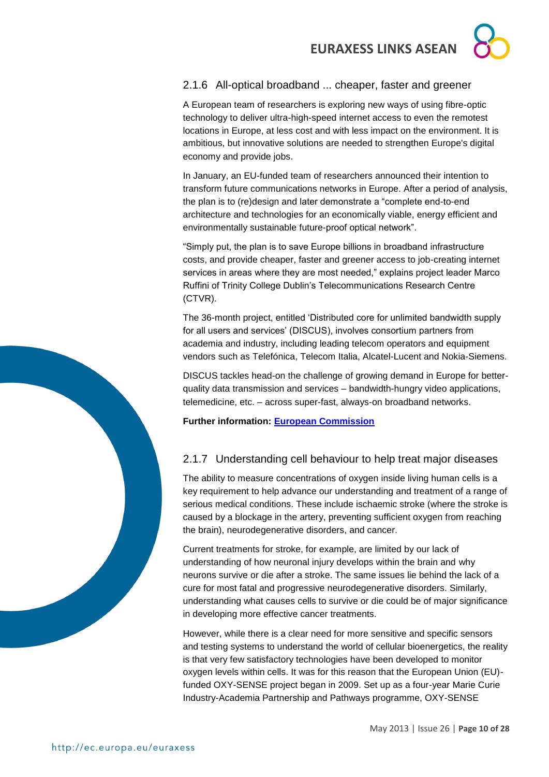### <span id="page-9-0"></span>2.1.6 All-optical broadband ... cheaper, faster and greener

A European team of researchers is exploring new ways of using fibre-optic technology to deliver ultra-high-speed internet access to even the remotest locations in Europe, at less cost and with less impact on the environment. It is ambitious, but innovative solutions are needed to strengthen Europe's digital economy and provide jobs.

In January, an EU-funded team of researchers announced their intention to transform future communications networks in Europe. After a period of analysis, the plan is to (re)design and later demonstrate a "complete end-to-end architecture and technologies for an economically viable, energy efficient and environmentally sustainable future-proof optical network".

"Simply put, the plan is to save Europe billions in broadband infrastructure costs, and provide cheaper, faster and greener access to job-creating internet services in areas where they are most needed," explains project leader Marco Ruffini of Trinity College Dublin's Telecommunications Research Centre (CTVR).

The 36-month project, entitled 'Distributed core for unlimited bandwidth supply for all users and services' (DISCUS), involves consortium partners from academia and industry, including leading telecom operators and equipment vendors such as Telefónica, Telecom Italia, Alcatel-Lucent and Nokia-Siemens.

DISCUS tackles head-on the challenge of growing demand in Europe for betterquality data transmission and services – bandwidth-hungry video applications, telemedicine, etc. – across super-fast, always-on broadband networks.

**Further information: [European Commission](http://ec.europa.eu/research/infocentre/article_en.cfm?id=/research/headlines/news/article_13_05_17_en.html&item=All&artid=30033&caller=AllHeadlines)**

### <span id="page-9-1"></span>2.1.7 Understanding cell behaviour to help treat major diseases

The ability to measure concentrations of oxygen inside living human cells is a key requirement to help advance our understanding and treatment of a range of serious medical conditions. These include ischaemic stroke (where the stroke is caused by a blockage in the artery, preventing sufficient oxygen from reaching the brain), neurodegenerative disorders, and cancer.

Current treatments for stroke, for example, are limited by our lack of understanding of how neuronal injury develops within the brain and why neurons survive or die after a stroke. The same issues lie behind the lack of a cure for most fatal and progressive neurodegenerative disorders. Similarly, understanding what causes cells to survive or die could be of major significance in developing more effective cancer treatments.

However, while there is a clear need for more sensitive and specific sensors and testing systems to understand the world of cellular bioenergetics, the reality is that very few satisfactory technologies have been developed to monitor oxygen levels within cells. It was for this reason that the European Union (EU) funded OXY-SENSE project began in 2009. Set up as a four-year Marie Curie Industry-Academia Partnership and Pathways programme, OXY-SENSE

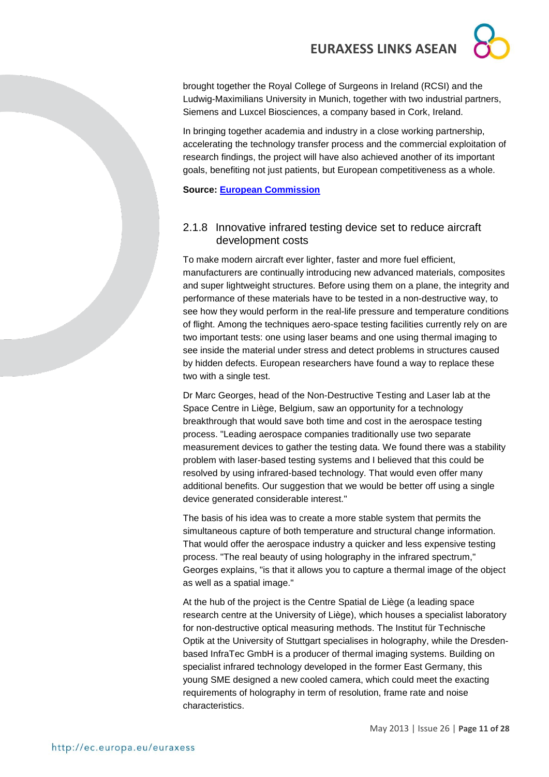brought together the Royal College of Surgeons in Ireland (RCSI) and the Ludwig-Maximilians University in Munich, together with two industrial partners, Siemens and Luxcel Biosciences, a company based in Cork, Ireland.

In bringing together academia and industry in a close working partnership, accelerating the technology transfer process and the commercial exploitation of research findings, the project will have also achieved another of its important goals, benefiting not just patients, but European competitiveness as a whole.

**Source: [European Commission](http://ec.europa.eu/research/infocentre/article_en.cfm?id=/research/headlines/news/article_13_05_14_en.html&item=Infocentre&artid=29973)**

### <span id="page-10-0"></span>2.1.8 Innovative infrared testing device set to reduce aircraft development costs

To make modern aircraft ever lighter, faster and more fuel efficient, manufacturers are continually introducing new advanced materials, composites and super lightweight structures. Before using them on a plane, the integrity and performance of these materials have to be tested in a non-destructive way, to see how they would perform in the real-life pressure and temperature conditions of flight. Among the techniques aero-space testing facilities currently rely on are two important tests: one using laser beams and one using thermal imaging to see inside the material under stress and detect problems in structures caused by hidden defects. European researchers have found a way to replace these two with a single test.

Dr Marc Georges, head of the Non-Destructive Testing and Laser lab at the Space Centre in Liège, Belgium, saw an opportunity for a technology breakthrough that would save both time and cost in the aerospace testing process. "Leading aerospace companies traditionally use two separate measurement devices to gather the testing data. We found there was a stability problem with laser-based testing systems and I believed that this could be resolved by using infrared-based technology. That would even offer many additional benefits. Our suggestion that we would be better off using a single device generated considerable interest."

The basis of his idea was to create a more stable system that permits the simultaneous capture of both temperature and structural change information. That would offer the aerospace industry a quicker and less expensive testing process. "The real beauty of using holography in the infrared spectrum," Georges explains, "is that it allows you to capture a thermal image of the object as well as a spatial image."

At the hub of the project is the Centre Spatial de Liège (a leading space research centre at the University of Liège), which houses a specialist laboratory for non-destructive optical measuring methods. The Institut für Technische Optik at the University of Stuttgart specialises in holography, while the Dresdenbased InfraTec GmbH is a producer of thermal imaging systems. Building on specialist infrared technology developed in the former East Germany, this young SME designed a new cooled camera, which could meet the exacting requirements of holography in term of resolution, frame rate and noise characteristics.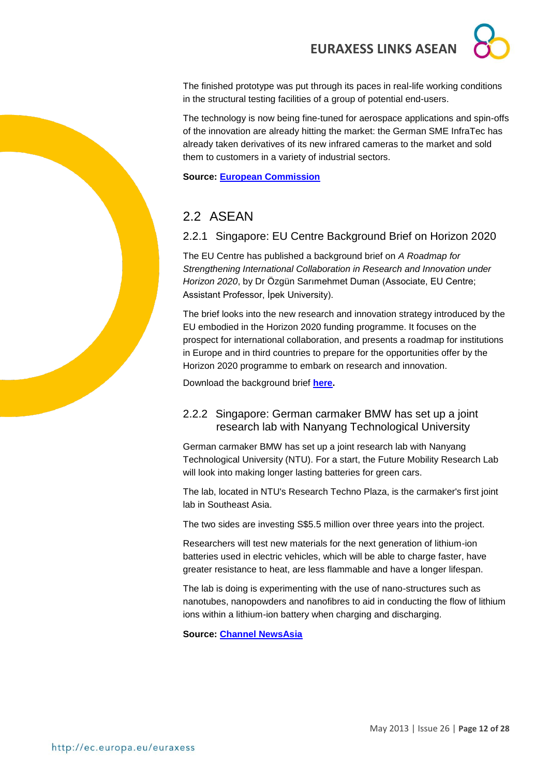The finished prototype was put through its paces in real-life working conditions in the structural testing facilities of a group of potential end-users.

The technology is now being fine-tuned for aerospace applications and spin-offs of the innovation are already hitting the market: the German SME InfraTec has already taken derivatives of its new infrared cameras to the market and sold them to customers in a variety of industrial sectors.

**Source: [European Commission](http://ec.europa.eu/research/infocentre/article_en.cfm?id=/research/star/index_en.cfm?p=ss-fantom&calledby=infocentre&item=Infocentre&artid=29974)**

### <span id="page-11-0"></span>2.2 ASFAN

### <span id="page-11-1"></span>2.2.1 Singapore: EU Centre Background Brief on Horizon 2020

The EU Centre has published a background brief on *A Roadmap for Strengthening International Collaboration in Research and Innovation under Horizon 2020*, by Dr Özgün Sarımehmet Duman (Associate, EU Centre; Assistant Professor, İpek University).

The brief looks into the new research and innovation strategy introduced by the EU embodied in the Horizon 2020 funding programme. It focuses on the prospect for international collaboration, and presents a roadmap for institutions in Europe and in third countries to prepare for the opportunities offer by the Horizon 2020 programme to embark on research and innovation.

Download the background brief **[here.](http://www.eucentre.sg/articles/467/downloads/Horizon2020.pdf)**

### <span id="page-11-2"></span>2.2.2 Singapore: German carmaker BMW has set up a joint research lab with Nanyang Technological University

German carmaker BMW has set up a joint research lab with Nanyang Technological University (NTU). For a start, the Future Mobility Research Lab will look into making longer lasting batteries for green cars.

The lab, located in NTU's Research Techno Plaza, is the carmaker's first joint lab in Southeast Asia.

The two sides are investing S\$5.5 million over three years into the project.

Researchers will test new materials for the next generation of lithium-ion batteries used in electric vehicles, which will be able to charge faster, have greater resistance to heat, are less flammable and have a longer lifespan.

The lab is doing is experimenting with the use of nano-structures such as nanotubes, nanopowders and nanofibres to aid in conducting the flow of lithium ions within a lithium-ion battery when charging and discharging.

**Source: [Channel NewsAsia](http://www.channelnewsasia.com/news/singapore/bmw-ntu-set-up-joint-research-lab/655756.html)**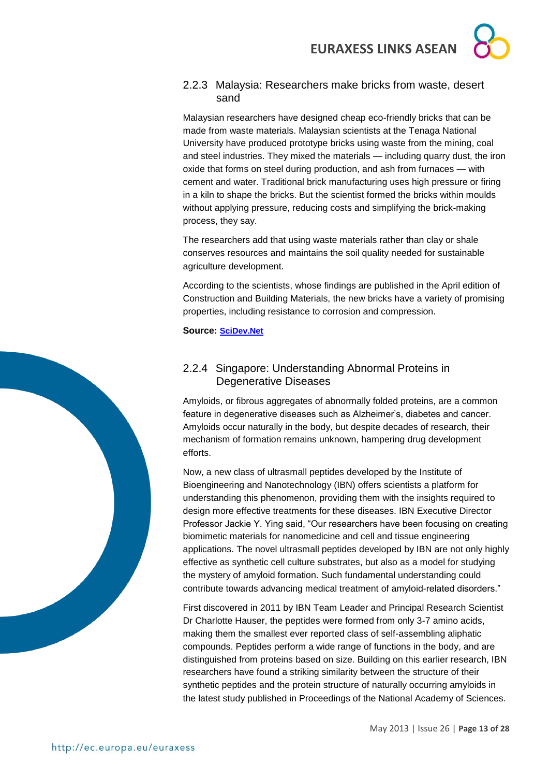### <span id="page-12-0"></span>2.2.3 Malaysia: Researchers make bricks from waste, desert sand

Malaysian researchers have designed cheap eco-friendly bricks that can be made from waste materials. Malaysian scientists at the Tenaga National University have produced prototype bricks using waste from the mining, coal and steel industries. They mixed the materials — including quarry dust, the iron oxide that forms on steel during production, and ash from furnaces — with cement and water. Traditional brick manufacturing uses high pressure or firing in a kiln to shape the bricks. But the scientist formed the bricks within moulds without applying pressure, reducing costs and simplifying the brick-making process, they say.

The researchers add that using waste materials rather than clay or shale conserves resources and maintains the soil quality needed for sustainable agriculture development.

According to the scientists, whose findings are published in the April edition of Construction and Building Materials, the new bricks have a variety of promising properties, including resistance to corrosion and compression.

**Source: [SciDev.Net](http://www.scidev.net/en/south-east-asia/news/researchers-make-bricks-from-waste-desert-sand.html)**

### <span id="page-12-1"></span>2.2.4 Singapore: [Understanding Abnormal Proteins in](http://www.a-star.edu.sg/Media/News/PressReleases/tabid/828/articleType/ArticleView/articleId/1805/Default.aspx)  [Degenerative Diseases](http://www.a-star.edu.sg/Media/News/PressReleases/tabid/828/articleType/ArticleView/articleId/1805/Default.aspx)

Amyloids, or fibrous aggregates of abnormally folded proteins, are a common feature in degenerative diseases such as Alzheimer's, diabetes and cancer. Amyloids occur naturally in the body, but despite decades of research, their mechanism of formation remains unknown, hampering drug development efforts.

Now, a new class of ultrasmall peptides developed by the Institute of Bioengineering and Nanotechnology (IBN) offers scientists a platform for understanding this phenomenon, providing them with the insights required to design more effective treatments for these diseases. IBN Executive Director Professor Jackie Y. Ying said, "Our researchers have been focusing on creating biomimetic materials for nanomedicine and cell and tissue engineering applications. The novel ultrasmall peptides developed by IBN are not only highly effective as synthetic cell culture substrates, but also as a model for studying the mystery of amyloid formation. Such fundamental understanding could contribute towards advancing medical treatment of amyloid-related disorders."

First discovered in 2011 by IBN Team Leader and Principal Research Scientist Dr Charlotte Hauser, the peptides were formed from only 3-7 amino acids, making them the smallest ever reported class of self-assembling aliphatic compounds. Peptides perform a wide range of functions in the body, and are distinguished from proteins based on size. Building on this earlier research, IBN researchers have found a striking similarity between the structure of their synthetic peptides and the protein structure of naturally occurring amyloids in the latest study published in Proceedings of the National Academy of Sciences.

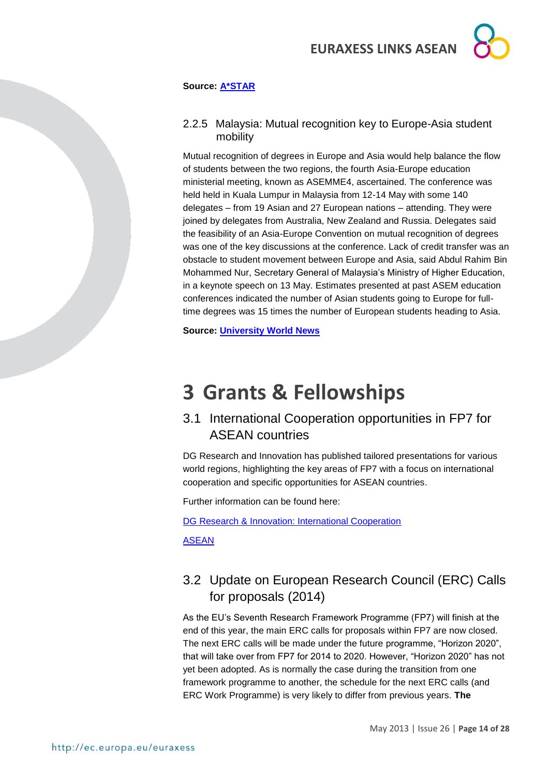

#### **Source: [A\\*STAR](http://www.a-star.edu.sg/Media/News/PressReleases/tabid/828/articleType/ArticleView/articleId/1805/Default.aspx)**

#### <span id="page-13-0"></span>2.2.5 Malaysia: Mutual recognition key to Europe-Asia student mobility

Mutual recognition of degrees in Europe and Asia would help balance the flow of students between the two regions, the fourth Asia-Europe education ministerial meeting, known as ASEMME4, ascertained. The conference was held held in Kuala Lumpur in Malaysia from 12-14 May with some 140 delegates – from 19 Asian and 27 European nations – attending. They were joined by delegates from Australia, New Zealand and Russia. Delegates said the feasibility of an Asia-Europe Convention on mutual recognition of degrees was one of the key discussions at the conference. Lack of credit transfer was an obstacle to student movement between Europe and Asia, said Abdul Rahim Bin Mohammed Nur, Secretary General of Malaysia's Ministry of Higher Education, in a keynote speech on 13 May. Estimates presented at past ASEM education conferences indicated the number of Asian students going to Europe for fulltime degrees was 15 times the number of European students heading to Asia.

**Source: [University World News](http://www.universityworldnews.com/article.php?story=20130514091227449)**

# <span id="page-13-1"></span>**3 Grants & Fellowships**

### <span id="page-13-2"></span>3.1 International Cooperation opportunities in FP7 for ASEAN countries

DG Research and Innovation has published tailored presentations for various world regions, highlighting the key areas of FP7 with a focus on international cooperation and specific opportunities for ASEAN countries.

Further information can be found here:

[DG Research & Innovation: International Cooperation](http://ec.europa.eu/research/iscp/index.cfm?lg=en&pg=infoday-2012)

[ASEAN](http://ec.europa.eu/research/iscp/pdf/fp7_infoday_2012/asean_wp_2013.pdf#view=fit&pagemode=none)

### <span id="page-13-3"></span>3.2 Update on European Research Council (ERC) Calls for proposals (2014)

As the EU's Seventh Research Framework Programme (FP7) will finish at the end of this year, the main ERC calls for proposals within FP7 are now closed. The next ERC calls will be made under the future programme, "Horizon 2020", that will take over from FP7 for 2014 to 2020. However, "Horizon 2020" has not yet been adopted. As is normally the case during the transition from one framework programme to another, the schedule for the next ERC calls (and ERC Work Programme) is very likely to differ from previous years. **The**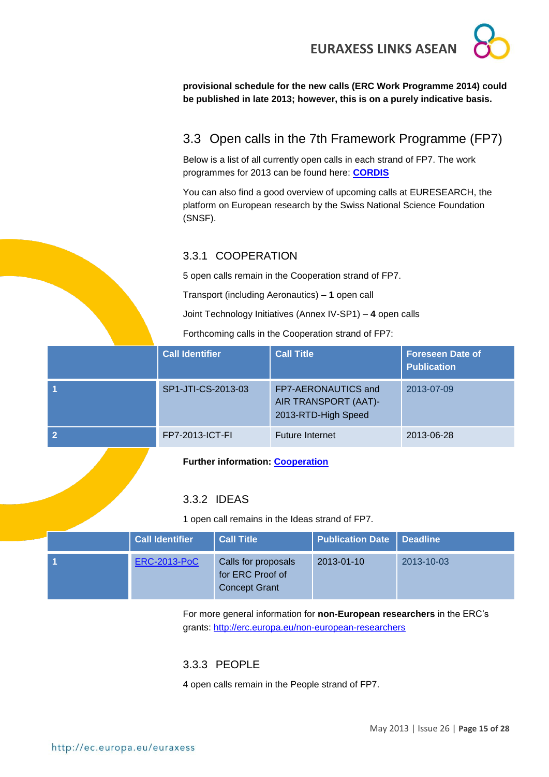

**provisional schedule for the new calls (ERC Work Programme 2014) could be published in late 2013; however, this is on a purely indicative basis.**

## <span id="page-14-0"></span>3.3 Open calls in the 7th Framework Programme (FP7)

Below is a list of all currently open calls in each strand of FP7. The work programmes for 2013 can be found here: **[CORDIS](http://cordis.europa.eu/fp7/wp-2013_en.html)**

You can also find a good overview of upcoming calls at EURESEARCH, the platform on European research by the Swiss National Science Foundation (SNSF).

### <span id="page-14-1"></span>3.3.1 COOPERATION

5 open calls remain in the Cooperation strand of FP7.

Transport (including Aeronautics) – **1** open call

Joint Technology Initiatives (Annex IV-SP1) – **4** open calls

Forthcoming calls in the Cooperation strand of FP7:

| <b>Call Identifier</b> | <b>Call Title</b>                                                  | <b>Foreseen Date of</b><br><b>Publication</b> |
|------------------------|--------------------------------------------------------------------|-----------------------------------------------|
| SP1-JTI-CS-2013-03     | FP7-AERONAUTICS and<br>AIR TRANSPORT (AAT)-<br>2013-RTD-High Speed | 2013-07-09                                    |
| FP7-2013-ICT-FI        | <b>Future Internet</b>                                             | 2013-06-28                                    |

**Further information: [Cooperation](http://ec.europa.eu/research/participants/portal/page/call_FP7&state=forthcoming#wlp_call_FP7)**

### <span id="page-14-2"></span>3.3.2 IDEAS

1 open call remains in the Ideas strand of FP7.

| <b>Call Identifier</b> | <b>Call Title</b>                                               | <b>Publication Date   Deadline</b> |            |
|------------------------|-----------------------------------------------------------------|------------------------------------|------------|
| <b>ERC-2013-PoC</b>    | Calls for proposals<br>for ERC Proof of<br><b>Concept Grant</b> | 2013-01-10                         | 2013-10-03 |

For more general information for **non-European researchers** in the ERC's grants: <http://erc.europa.eu/non-european-researchers>

### <span id="page-14-3"></span>3.3.3 PEOPLE

4 open calls remain in the People strand of FP7.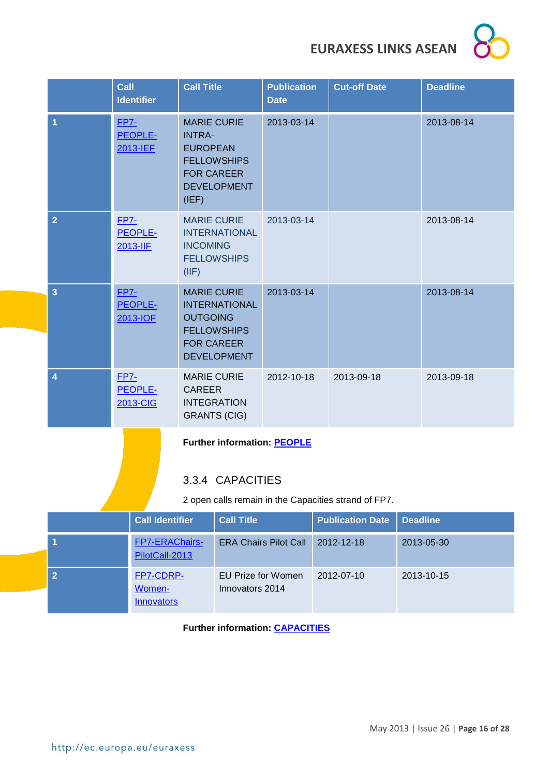|                                                                                           | <b>Call</b>                                                                                                                        | <b>Identifier</b>                        | <b>Call Title</b>                                                                                                              |                                              | <b>Publication</b><br><b>Date</b> |  | <b>Cut-off Date</b> |            | <b>Deadline</b> |
|-------------------------------------------------------------------------------------------|------------------------------------------------------------------------------------------------------------------------------------|------------------------------------------|--------------------------------------------------------------------------------------------------------------------------------|----------------------------------------------|-----------------------------------|--|---------------------|------------|-----------------|
| 1                                                                                         | $FP7-$<br>PEOPLE-<br>2013-IEF<br>(IEF)                                                                                             |                                          | <b>MARIE CURIE</b><br><b>INTRA-</b><br><b>EUROPEAN</b><br><b>FOR CAREER</b>                                                    | <b>FELLOWSHIPS</b><br><b>DEVELOPMENT</b>     | 2013-03-14                        |  |                     |            | 2013-08-14      |
| $\overline{2}$                                                                            | <b>FP7-</b><br><b>MARIE CURIE</b><br>PEOPLE-<br><b>INTERNATIONAL</b><br>2013-IIF<br><b>INCOMING</b><br><b>FELLOWSHIPS</b><br>(IIF) |                                          |                                                                                                                                | 2013-03-14                                   |                                   |  |                     | 2013-08-14 |                 |
| 3                                                                                         | <b>FP7-</b>                                                                                                                        | PEOPLE-<br>2013-IOF                      | <b>MARIE CURIE</b><br><b>INTERNATIONAL</b><br><b>OUTGOING</b><br><b>FELLOWSHIPS</b><br><b>FOR CAREER</b><br><b>DEVELOPMENT</b> |                                              | 2013-03-14                        |  |                     |            | 2013-08-14      |
| 4                                                                                         | <b>FP7-</b><br>PEOPLE-<br>2013-CIG                                                                                                 |                                          | <b>MARIE CURIE</b><br><b>CAREER</b><br><b>INTEGRATION</b><br><b>GRANTS (CIG)</b>                                               |                                              | 2012-10-18                        |  | 2013-09-18          |            | 2013-09-18      |
| <b>Further information: PEOPLE</b>                                                        |                                                                                                                                    |                                          |                                                                                                                                |                                              |                                   |  |                     |            |                 |
|                                                                                           |                                                                                                                                    |                                          | 3.3.4 CAPACITIES                                                                                                               |                                              |                                   |  |                     |            |                 |
| 2 open calls remain in the Capacities strand of FP7.                                      |                                                                                                                                    |                                          |                                                                                                                                |                                              |                                   |  |                     |            |                 |
| <b>Call Identifier</b><br><b>Call Title</b><br><b>Publication Date</b><br><b>Deadline</b> |                                                                                                                                    |                                          |                                                                                                                                |                                              |                                   |  |                     |            |                 |
|                                                                                           |                                                                                                                                    | FP7-ERAChairs-<br>PilotCall-2013         |                                                                                                                                |                                              | <b>ERA Chairs Pilot Call</b>      |  | 2012-12-18          | 2013-05-30 |                 |
| $\overline{2}$                                                                            |                                                                                                                                    | FP7-CDRP-<br>Women-<br><b>Innovators</b> |                                                                                                                                | <b>EU Prize for Women</b><br>Innovators 2014 |                                   |  | 2012-07-10          | 2013-10-15 |                 |

<span id="page-15-0"></span>**Further information: [CAPACITIES](http://ec.europa.eu/research/participants/portal/appmanager/participants/portal?_nfpb=true&_windowLabel=portletInstance_60&portletInstance_60_actionOverride=/portlets/call/fp7CallMenu/go2Capacities&_pageLabel=call_FP7#wlp_portletInstance_60)**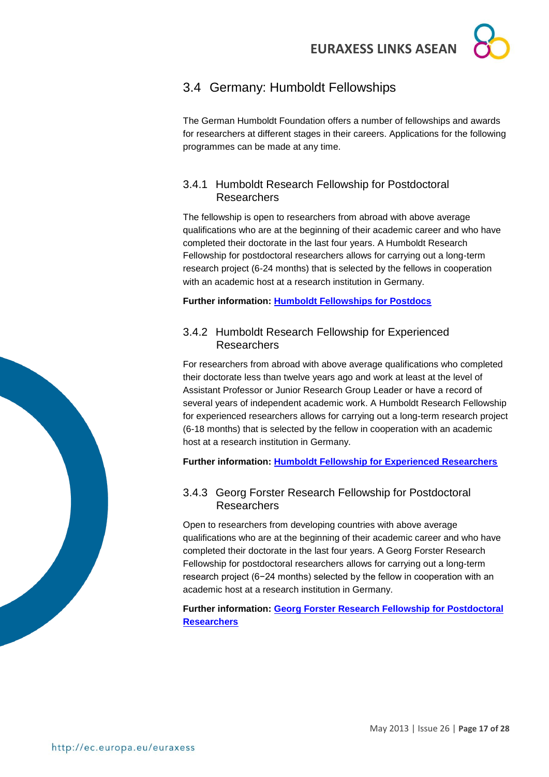### <span id="page-16-0"></span>3.4 Germany: Humboldt Fellowships

The German Humboldt Foundation offers a number of fellowships and awards for researchers at different stages in their careers. Applications for the following programmes can be made at any time.

### <span id="page-16-1"></span>3.4.1 Humboldt Research Fellowship for Postdoctoral **Researchers**

The fellowship is open to researchers from abroad with above average qualifications who are at the beginning of their academic career and who have completed their doctorate in the last four years. A Humboldt Research Fellowship for postdoctoral researchers allows for carrying out a long-term research project (6-24 months) that is selected by the fellows in cooperation with an academic host at a research institution in Germany.

**Further information: [Humboldt Fellowships for Postdocs](http://www.humboldt-foundation.de/web/humboldt-fellowship-postdoc.html)**

### <span id="page-16-2"></span>3.4.2 Humboldt Research Fellowship for Experienced Researchers

For researchers from abroad with above average qualifications who completed their doctorate less than twelve years ago and work at least at the level of Assistant Professor or Junior Research Group Leader or have a record of several years of independent academic work. A Humboldt Research Fellowship for experienced researchers allows for carrying out a long-term research project (6-18 months) that is selected by the fellow in cooperation with an academic host at a research institution in Germany.

**Further information: [Humboldt Fellowship for Experienced Researchers](http://www.humboldt-foundation.de/web/humboldt-fellowship-experienced.html)**

### <span id="page-16-3"></span>3.4.3 Georg Forster Research Fellowship for Postdoctoral **Researchers**

Open to researchers from developing countries with above average qualifications who are at the beginning of their academic career and who have completed their doctorate in the last four years. A Georg Forster Research Fellowship for postdoctoral researchers allows for carrying out a long-term research project (6−24 months) selected by the fellow in cooperation with an academic host at a research institution in Germany.

**Further information: [Georg Forster Research Fellowship for Postdoctoral](http://www.humboldt-foundation.de/web/pub_progsearch.main?p_lang=en&p_forschungsaufenthalt_id=&p_karrierestufe_id=1&p_promotions_jahr=2012&p_nation=INO&p_button_search=Search)  [Researchers](http://www.humboldt-foundation.de/web/pub_progsearch.main?p_lang=en&p_forschungsaufenthalt_id=&p_karrierestufe_id=1&p_promotions_jahr=2012&p_nation=INO&p_button_search=Search)**

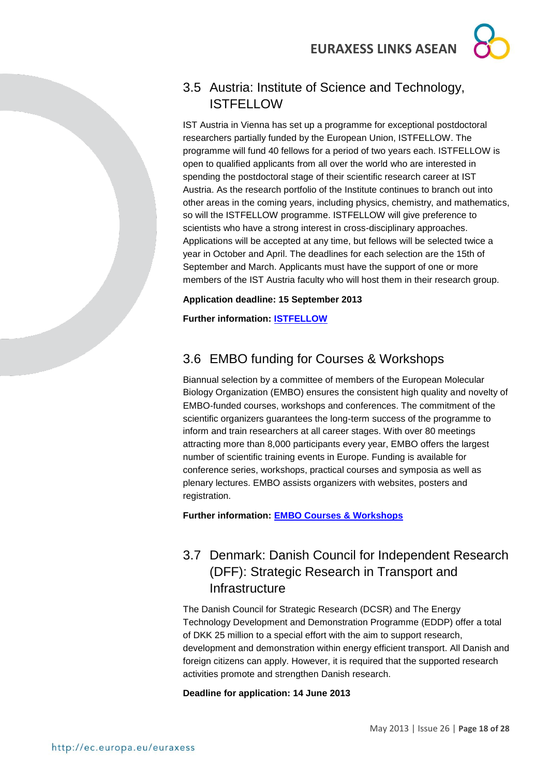## <span id="page-17-0"></span>3.5 Austria: Institute of Science and Technology, **ISTFELLOW**

IST Austria in Vienna has set up a programme for exceptional postdoctoral researchers partially funded by the European Union, ISTFELLOW. The programme will fund 40 fellows for a period of two years each. ISTFELLOW is open to qualified applicants from all over the world who are interested in spending the postdoctoral stage of their scientific research career at IST Austria. As the research portfolio of the Institute continues to branch out into other areas in the coming years, including physics, chemistry, and mathematics, so will the ISTFELLOW programme. ISTFELLOW will give preference to scientists who have a strong interest in cross-disciplinary approaches. Applications will be accepted at any time, but fellows will be selected twice a year in October and April. The deadlines for each selection are the 15th of September and March. Applicants must have the support of one or more members of the IST Austria faculty who will host them in their research group.

### **Application deadline: 15 September 2013**

**Further information: [ISTFELLOW](http://ist.ac.at/research/postdoctoral-research/istfellow/)**

## <span id="page-17-1"></span>3.6 EMBO funding for Courses & Workshops

Biannual selection by a committee of members of the European Molecular Biology Organization (EMBO) ensures the consistent high quality and novelty of EMBO-funded courses, workshops and conferences. The commitment of the scientific organizers guarantees the long-term success of the programme to inform and train researchers at all career stages. With over 80 meetings attracting more than 8,000 participants every year, EMBO offers the largest number of scientific training events in Europe. Funding is available for conference series, workshops, practical courses and symposia as well as plenary lectures. EMBO assists organizers with websites, posters and registration.

**Further information: [EMBO Courses & Workshops](http://www.embo.org/funding-awards/courses-workshops)**

## <span id="page-17-2"></span>3.7 Denmark: Danish Council for Independent Research (DFF): Strategic Research in Transport and **Infrastructure**

The Danish Council for Strategic Research (DCSR) and The Energy Technology Development and Demonstration Programme (EDDP) offer a total of DKK 25 million to a special effort with the aim to support research, development and demonstration within energy efficient transport. All Danish and foreign citizens can apply. However, it is required that the supported research activities promote and strengthen Danish research.

### **Deadline for application: 14 June 2013**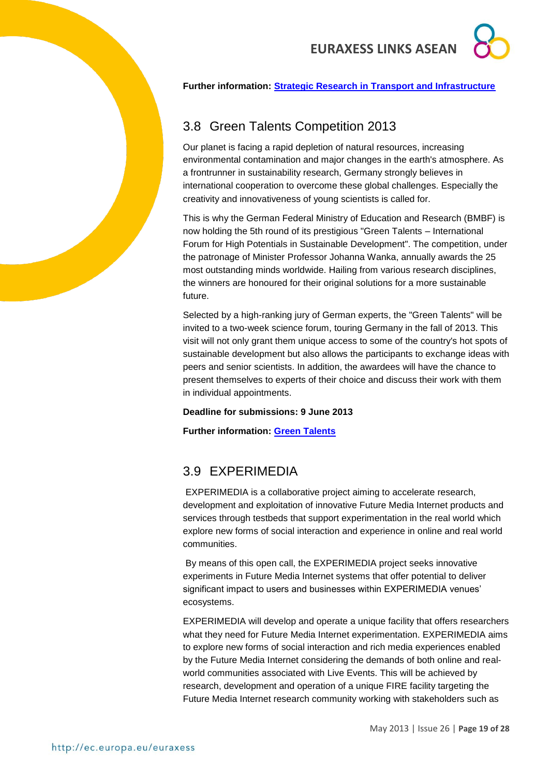#### **Further information: [Strategic Research in Transport and Infrastructure](http://fivu.dk/en/research-and-innovation/funding-programmes-for-research-and-innovation/find-danish-funding-programmes/dsf-strategic-research-in-transport-and-infrastructure)**

### <span id="page-18-0"></span>3.8 Green Talents Competition 2013

Our planet is facing a rapid depletion of natural resources, increasing environmental contamination and major changes in the earth's atmosphere. As a frontrunner in sustainability research, Germany strongly believes in international cooperation to overcome these global challenges. Especially the creativity and innovativeness of young scientists is called for.

This is why the German Federal Ministry of Education and Research (BMBF) is now holding the 5th round of its prestigious "Green Talents – International Forum for High Potentials in Sustainable Development". The competition, under the patronage of Minister Professor Johanna Wanka, annually awards the 25 most outstanding minds worldwide. Hailing from various research disciplines, the winners are honoured for their original solutions for a more sustainable future.

Selected by a high-ranking [jury of German experts,](http://www.greentalents.de/1082.php) the "Green Talents" will be invited to a two-week [science forum,](http://www.greentalents.de/1096.php) touring Germany in the fall of 2013. This visit will not only grant them unique access to some of the country's hot spots of sustainable development but also allows the participants to exchange ideas with peers and senior scientists. In addition, the awardees will have the chance to present themselves to experts of their choice and discuss their work with them in [individual appointments.](http://www.greentalents.de/1068.php)

**Deadline for submissions: 9 June 2013**

**Further information: [Green Talents](http://www.greentalents.de/)**

### <span id="page-18-1"></span>3.9 EXPERIMEDIA

EXPERIMEDIA is a collaborative project aiming to accelerate research, development and exploitation of innovative Future Media Internet products and services through testbeds that support experimentation in the real world which explore new forms of social interaction and experience in online and real world communities.

By means of this open call, the EXPERIMEDIA project seeks innovative experiments in Future Media Internet systems that offer potential to deliver significant impact to users and businesses within EXPERIMEDIA venues' ecosystems.

EXPERIMEDIA will develop and operate a unique facility that offers researchers what they need for Future Media Internet experimentation. EXPERIMEDIA aims to explore new forms of social interaction and rich media experiences enabled by the Future Media Internet considering the demands of both online and realworld communities associated with Live Events. This will be achieved by research, development and operation of a unique FIRE facility targeting the Future Media Internet research community working with stakeholders such as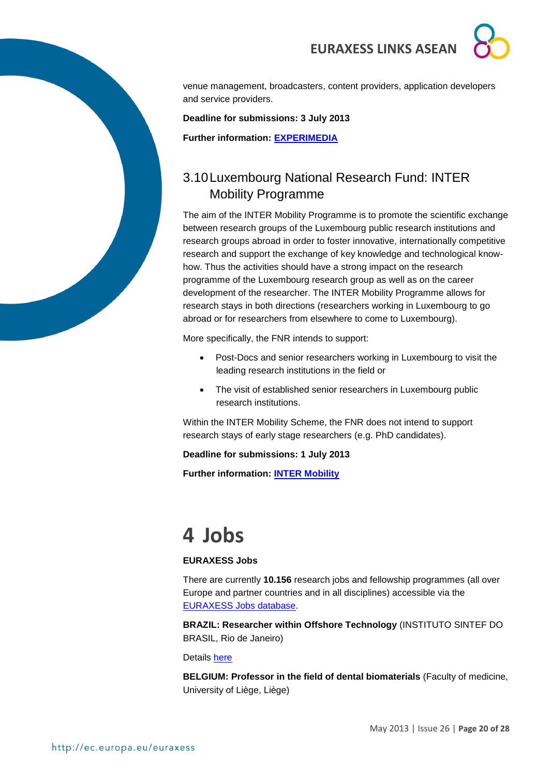

venue management, broadcasters, content providers, application developers and service providers.

**Deadline for submissions: 3 July 2013**

**Further information: [EXPERIMEDIA](http://www.experimedia.eu/open-call-2013/)**

### <span id="page-19-0"></span>3.10Luxembourg National Research Fund: INTER Mobility Programme

The aim of the INTER Mobility Programme is to promote the scientific exchange between research groups of the Luxembourg public research institutions and research groups abroad in order to foster innovative, internationally competitive research and support the exchange of key knowledge and technological knowhow. Thus the activities should have a strong impact on the research programme of the Luxembourg research group as well as on the career development of the researcher. The INTER Mobility Programme allows for research stays in both directions (researchers working in Luxembourg to go abroad or for researchers from elsewhere to come to Luxembourg).

More specifically, the FNR intends to support:

- Post-Docs and senior researchers working in Luxembourg to visit the leading research institutions in the field or
- The visit of established senior researchers in Luxembourg public research institutions.

Within the INTER Mobility Scheme, the FNR does not intend to support research stays of early stage researchers (e.g. PhD candidates).

**Deadline for submissions: 1 July 2013**

**Further information: [INTER Mobility](http://www.fnr.lu/en/Research-Programmes/Research-Programmes/Calls/INTER-Mobility-Programme-Call-for-Proposals)**

# <span id="page-19-1"></span>**4 Jobs**

#### **EURAXESS Jobs**

There are currently **10.156** research jobs and fellowship programmes (all over Europe and partner countries and in all disciplines) accessible via the [EURAXESS Jobs database.](http://ec.europa.eu/euraxess/index.cfm/jobs/index)

**BRAZIL: Researcher within Offshore Technology** (INSTITUTO SINTEF DO BRASIL, Rio de Janeiro)

Details [here](http://ec.europa.eu/euraxess/index.cfm/jobs/jobDetails/33862076)

**BELGIUM: Professor in the field of dental biomaterials** (Faculty of medicine, University of Liège, Liège)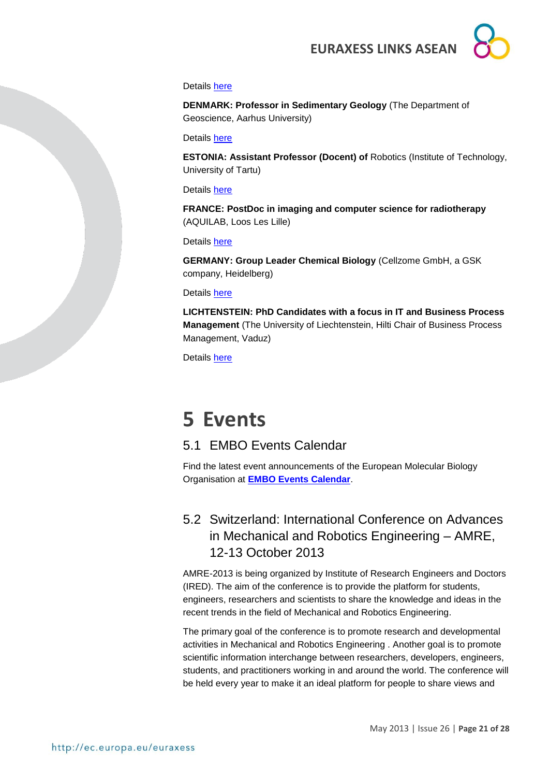#### Details [here](http://ec.europa.eu/euraxess/index.cfm/jobs/jobDetails/33862770)

**DENMARK: Professor in Sedimentary Geology** (The Department of Geoscience, Aarhus University)

Details [here](http://ec.europa.eu/euraxess/index.cfm/jobs/jobDetails/33862942)

**ESTONIA: Assistant Professor (Docent) of** Robotics (Institute of Technology, University of Tartu)

#### Details [here](http://ec.europa.eu/euraxess/index.cfm/jobs/jobDetails/33863191)

**FRANCE: PostDoc in imaging and computer science for radiotherapy**  (AQUILAB, Loos Les Lille)

Details [here](http://ec.europa.eu/euraxess/index.cfm/jobs/jobDetails/33844089)

**GERMANY: Group Leader Chemical Biology** (Cellzome GmbH, a GSK company, Heidelberg)

Details [here](http://ec.europa.eu/euraxess/index.cfm/jobs/jobDetails/33862912)

**LICHTENSTEIN: PhD Candidates with a focus in IT and Business Process Management** (The University of Liechtenstein, Hilti Chair of Business Process Management, Vaduz)

Details [here](http://ec.europa.eu/euraxess/index.cfm/jobs/jobDetails/33862064)

# <span id="page-20-0"></span>**5 Events**

### <span id="page-20-1"></span>5.1 EMBO Events Calendar

Find the latest event announcements of the European Molecular Biology Organisation at **[EMBO Events Calendar](http://www.embo.org/events)**.

### <span id="page-20-2"></span>5.2 Switzerland: International Conference on Advances in Mechanical and Robotics Engineering – AMRE, 12-13 October 2013

AMRE-2013 is being organized by Institute of Research Engineers and Doctors (IRED). The aim of the conference is to provide the platform for students, engineers, researchers and scientists to share the knowledge and ideas in the recent trends in the field of Mechanical and Robotics Engineering.

The primary goal of the conference is to promote research and developmental activities in Mechanical and Robotics Engineering . Another goal is to promote scientific information interchange between researchers, developers, engineers, students, and practitioners working in and around the world. The conference will be held every year to make it an ideal platform for people to share views and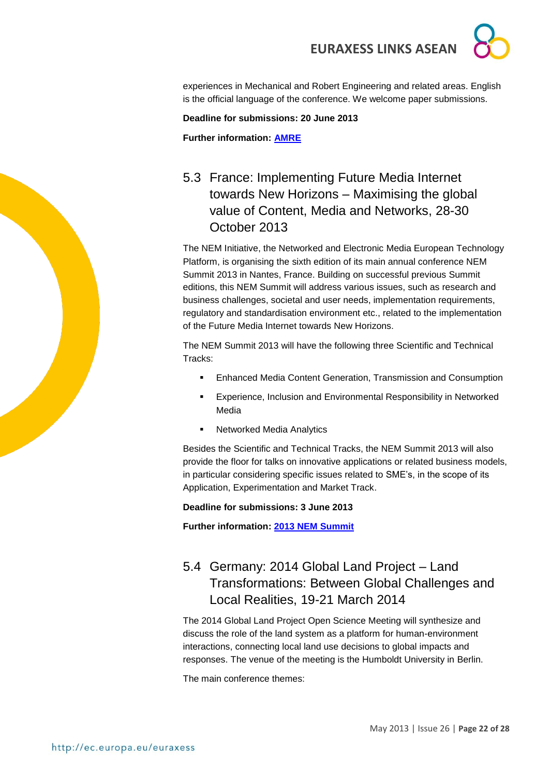

experiences in Mechanical and Robert Engineering and related areas. English is the official language of the conference. We welcome paper submissions.

#### **Deadline for submissions: 20 June 2013**

**Further information: [AMRE](http://amre.theired.org/index.html)**

### <span id="page-21-0"></span>5.3 France: Implementing Future Media Internet towards New Horizons – Maximising the global value of Content, Media and Networks, 28-30 October 2013

The NEM Initiative, the Networked and Electronic Media European Technology Platform, is organising the sixth edition of its main annual conference NEM Summit 2013 in Nantes, France. Building on successful previous Summit editions, this NEM Summit will address various issues, such as research and business challenges, societal and user needs, implementation requirements, regulatory and standardisation environment etc., related to the implementation of the Future Media Internet towards New Horizons.

The NEM Summit 2013 will have the following three Scientific and Technical Tracks:

- Enhanced Media Content Generation, Transmission and Consumption
- Experience, Inclusion and Environmental Responsibility in Networked Media
- **Networked Media Analytics**

Besides the Scientific and Technical Tracks, the NEM Summit 2013 will also provide the floor for talks on innovative applications or related business models, in particular considering specific issues related to SME's, in the scope of its Application, Experimentation and Market Track.

#### **Deadline for submissions: 3 June 2013**

**Further information: [2013 NEM Summit](http://nem-summit.eu/files/2013/03/NEM-Summit2013-Call-for-Papers-v1-0.pdf)**

### <span id="page-21-1"></span>5.4 Germany: 2014 Global Land Project – Land Transformations: Between Global Challenges and Local Realities, 19-21 March 2014

The 2014 Global Land Project Open Science Meeting will synthesize and discuss the role of the land system as a platform for human-environment interactions, connecting local land use decisions to global impacts and responses. The venue of the meeting is the Humboldt University in Berlin.

The main conference themes: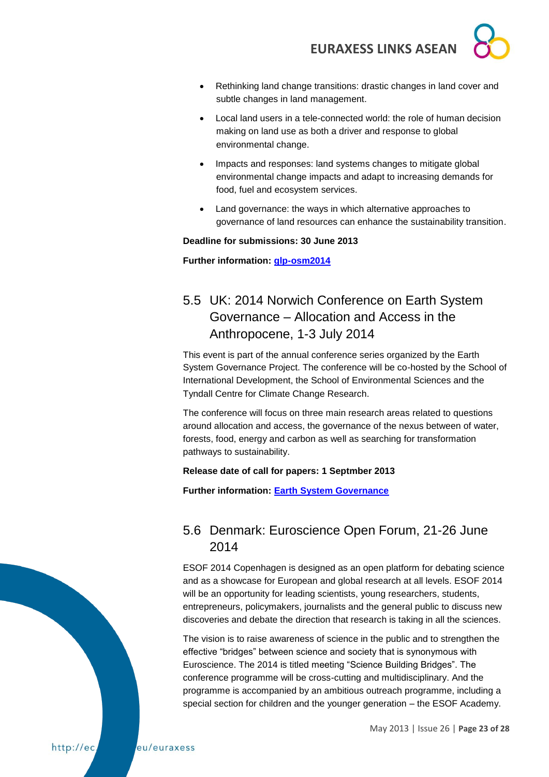- 
- Rethinking land change transitions: drastic changes in land cover and subtle changes in land management.
- Local land users in a tele-connected world: the role of human decision making on land use as both a driver and response to global environmental change.
- Impacts and responses: land systems changes to mitigate global environmental change impacts and adapt to increasing demands for food, fuel and ecosystem services.
- Land governance: the ways in which alternative approaches to governance of land resources can enhance the sustainability transition.

#### **Deadline for submissions: 30 June 2013**

**Further information: [glp-osm2014](http://www.glp-osm2014.org/)**

## <span id="page-22-0"></span>5.5 UK: 2014 Norwich Conference on Earth System Governance – Allocation and Access in the Anthropocene, 1-3 July 2014

This event is part of the annual conference series organized by the Earth System Governance Project. The conference will be co-hosted by the School of International Development, the School of Environmental Sciences and the Tyndall Centre for Climate Change Research.

The conference will focus on three main research areas related to questions around allocation and access, the governance of the nexus between of water, forests, food, energy and carbon as well as searching for transformation pathways to sustainability.

### **Release date of call for papers: 1 Septmber 2013**

**Further information: [Earth System Governance](http://www.earthsystemgovernance.org/news/2013-03-24-norwich-conference-earth-system-governance-first-announcement)**

### <span id="page-22-1"></span>5.6 Denmark: Euroscience Open Forum, 21-26 June 2014

ESOF 2014 Copenhagen is designed as an open platform for debating science and as a showcase for European and global research at all levels. ESOF 2014 will be an opportunity for leading scientists, young researchers, students, entrepreneurs, policymakers, journalists and the general public to discuss new discoveries and debate the direction that research is taking in all the sciences.

The vision is to raise awareness of science in the public and to strengthen the effective "bridges" between science and society that is synonymous with Euroscience. The 2014 is titled meeting "Science Building Bridges". The conference programme will be cross-cutting and multidisciplinary. And the programme is accompanied by an ambitious outreach programme, including a special section for children and the younger generation – the ESOF Academy.

http://ec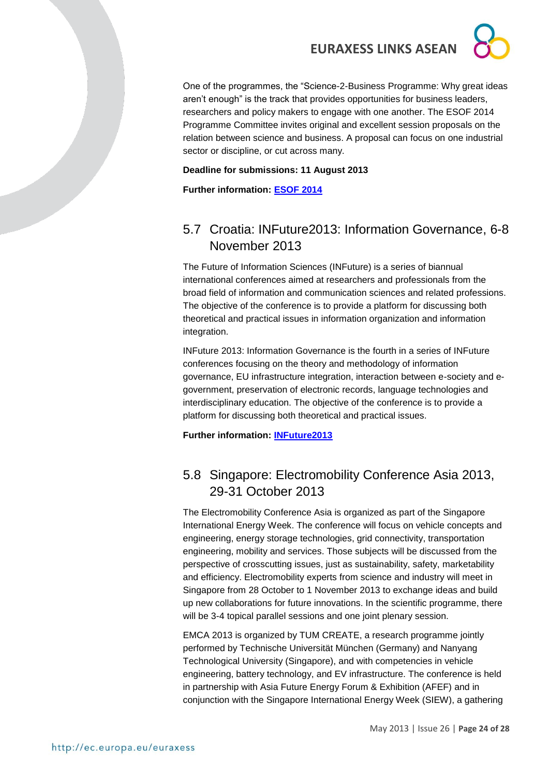One of the programmes, the "Science-2-Business Programme: Why great ideas aren't enough" is the track that provides opportunities for business leaders, researchers and policy makers to engage with one another. The ESOF 2014 Programme Committee invites original and excellent session proposals on the relation between science and business. A proposal can focus on one industrial sector or discipline, or cut across many.

#### **Deadline for submissions: 11 August 2013**

**Further information: [ESOF 2014](http://esof2014.org/info)**

### <span id="page-23-0"></span>5.7 Croatia: INFuture2013: Information Governance, 6-8 November 2013

The Future of Information Sciences (INFuture) is a series of biannual international conferences aimed at researchers and professionals from the broad field of information and communication sciences and related professions. The objective of the conference is to provide a platform for discussing both theoretical and practical issues in information organization and information integration.

INFuture 2013: Information Governance is the fourth in a series of INFuture conferences focusing on the theory and methodology of information governance, EU infrastructure integration, interaction between e-society and egovernment, preservation of electronic records, language technologies and interdisciplinary education. The objective of the conference is to provide a platform for discussing both theoretical and practical issues.

**Further information: [INFuture2013](http://ec.europa.eu/research/index.cfm?pg=events&eventcode=55765F8D-DC58-E9E6-093B82E415398DA0)**

### <span id="page-23-1"></span>5.8 Singapore: Electromobility Conference Asia 2013, 29-31 October 2013

The Electromobility Conference Asia is organized as part of the Singapore International Energy Week. The conference will focus on vehicle concepts and engineering, energy storage technologies, grid connectivity, transportation engineering, mobility and services. Those subjects will be discussed from the perspective of crosscutting issues, just as sustainability, safety, marketability and efficiency. Electromobility experts from science and industry will meet in Singapore from 28 October to 1 November 2013 to exchange ideas and build up new collaborations for future innovations. In the scientific programme, there will be 3-4 topical parallel sessions and one joint plenary session.

EMCA 2013 is organized by TUM CREATE, a research programme jointly performed by Technische Universität München (Germany) and Nanyang Technological University (Singapore), and with competencies in vehicle engineering, battery technology, and EV infrastructure. The conference is held in partnership with Asia Future Energy Forum & Exhibition (AFEF) and in conjunction with the Singapore International Energy Week (SIEW), a gathering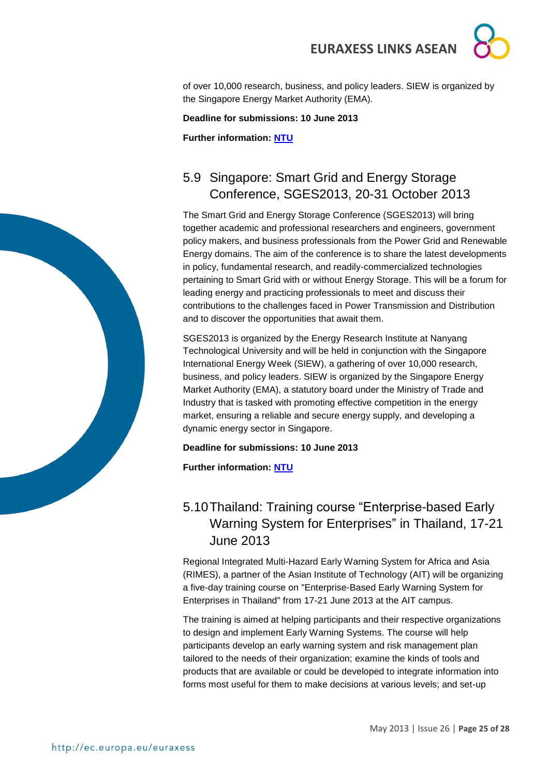

**Deadline for submissions: 10 June 2013**

**Further information: [NTU](http://erian.ntu.edu.sg/Conference_Workshop/EMCA%202013/Pages/CallforAbstracts.aspx)**

### <span id="page-24-0"></span>5.9 Singapore: Smart Grid and Energy Storage Conference, SGES2013, 20-31 October 2013

The Smart Grid and Energy Storage Conference (SGES2013) will bring together academic and professional researchers and engineers, government policy makers, and business professionals from the Power Grid and Renewable Energy domains. The aim of the conference is to share the latest developments in policy, fundamental research, and readily-commercialized technologies pertaining to Smart Grid with or without Energy Storage. This will be a forum for leading energy and practicing professionals to meet and discuss their contributions to the challenges faced in Power Transmission and Distribution and to discover the opportunities that await them.

SGES2013 is organized by the Energy Research Institute at Nanyang Technological University and will be held in conjunction with the Singapore International Energy Week (SIEW), a gathering of over 10,000 research, business, and policy leaders. SIEW is organized by the Singapore Energy Market Authority (EMA), a statutory board under the Ministry of Trade and Industry that is tasked with promoting effective competition in the energy market, ensuring a reliable and secure energy supply, and developing a dynamic energy sector in Singapore.

#### **Deadline for submissions: 10 June 2013**

**Further information: [NTU](http://erian.ntu.edu.sg/Conference_Workshop/SGES%202013/Pages/Home.aspx)**

### <span id="page-24-1"></span>5.10Thailand: Training course "Enterprise-based Early Warning System for Enterprises" in Thailand, 17-21 June 2013

Regional Integrated Multi-Hazard Early Warning System for Africa and Asia (RIMES), a partner of the Asian Institute of Technology (AIT) will be organizing a five-day training course on "Enterprise-Based Early Warning System for Enterprises in Thailand" from 17-21 June 2013 at the AIT campus.

The training is aimed at helping participants and their respective organizations to design and implement Early Warning Systems. The course will help participants develop an early warning system and risk management plan tailored to the needs of their organization; examine the kinds of tools and products that are available or could be developed to integrate information into forms most useful for them to make decisions at various levels; and set-up

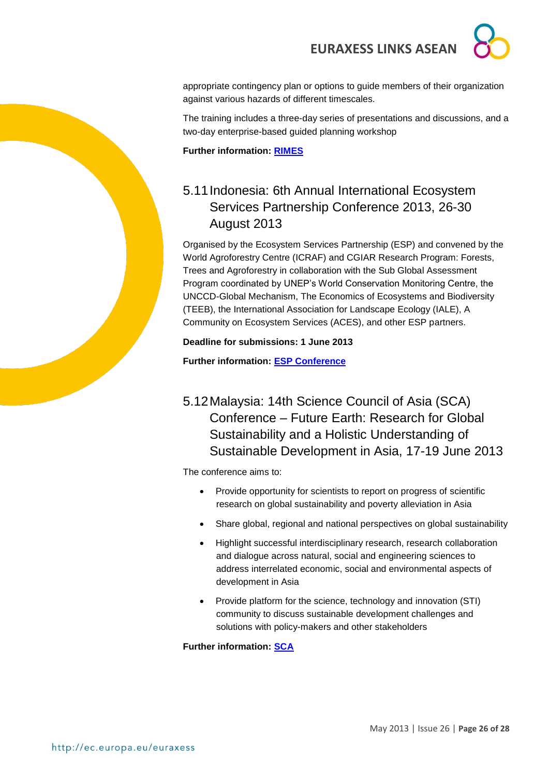appropriate contingency plan or options to guide members of their organization against various hazards of different timescales.

The training includes a three-day series of presentations and discussions, and a two-day enterprise-based guided planning workshop

**Further information: [RIMES](http://www.rimes.int/em/?p=1166)**

### <span id="page-25-0"></span>5.11Indonesia: 6th Annual International Ecosystem Services Partnership Conference 2013, 26-30 August 2013

Organised by the Ecosystem Services Partnership (ESP) and convened by the World Agroforestry Centre (ICRAF) and CGIAR Research Program: Forests, Trees and Agroforestry in collaboration with the Sub Global Assessment Program coordinated by UNEP's World Conservation Monitoring Centre, the UNCCD-Global Mechanism, The Economics of Ecosystems and Biodiversity (TEEB), the International Association for Landscape Ecology (IALE), A Community on Ecosystem Services (ACES), and other ESP partners.

**Deadline for submissions: 1 June 2013**

**Further information: [ESP Conference](http://www.espconference.org/ESP_Conference)**

### <span id="page-25-1"></span>5.12Malaysia: 14th Science Council of Asia (SCA) Conference – Future Earth: Research for Global Sustainability and a Holistic Understanding of Sustainable Development in Asia, 17-19 June 2013

The conference aims to:

- Provide opportunity for scientists to report on progress of scientific research on global sustainability and poverty alleviation in Asia
- Share global, regional and national perspectives on global sustainability
- Highlight successful interdisciplinary research, research collaboration and dialogue across natural, social and engineering sciences to address interrelated economic, social and environmental aspects of development in Asia
- Provide platform for the science, technology and innovation (STI) community to discuss sustainable development challenges and solutions with policy-makers and other stakeholders

**Further information: [SCA](http://www.scj.go.jp/en/sca/pdf/14th_announcement_1st.pdf)**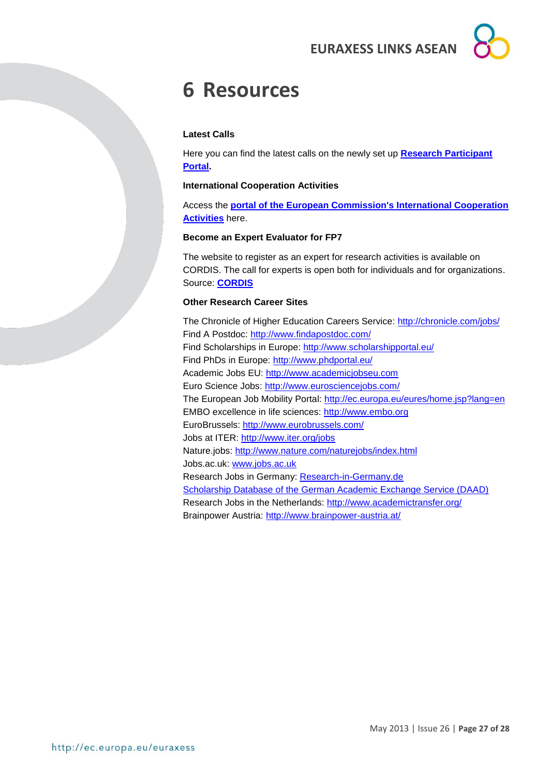# <span id="page-26-0"></span>**6 Resources**

#### **Latest Calls**

Here you can find the latest calls on the newly set up **[Research Participant](http://ec.europa.eu/research/participants/portal/page/fp7_calls)  [Portal.](http://ec.europa.eu/research/participants/portal/page/fp7_calls)** 

#### **International Cooperation Activities**

Access the **[portal of the European Commission's International Cooperation](http://ec.europa.eu/research/iscp/index.cfm?lg=en&pg=asia)  [Activities](http://ec.europa.eu/research/iscp/index.cfm?lg=en&pg=asia)** here.

#### **Become an Expert Evaluator for FP7**

The website to register as an expert for research activities is available on CORDIS. The call for experts is open both for individuals and for organizations. Source: **[CORDIS](http://ec.europa.eu/research/participants/portal/page/experts;efp7_SESSION_ID=4XL2RkST2FLgVM1RTQDnG7X7ln2B2vLkVLtTMTZ30WsLhjyQ1JLL!1910695525)**

#### **Other Research Career Sites**

The Chronicle of Higher Education Careers Service:<http://chronicle.com/jobs/> Find A Postdoc:<http://www.findapostdoc.com/> Find Scholarships in Europe:<http://www.scholarshipportal.eu/> Find PhDs in Europe:<http://www.phdportal.eu/> Academic Jobs EU: [http://www.academicjobseu.com](http://www.academicjobseu.com/) Euro Science Jobs:<http://www.eurosciencejobs.com/> The European Job Mobility Portal:<http://ec.europa.eu/eures/home.jsp?lang=en> EMBO excellence in life sciences: [http://www.embo.org](http://www.embo.org/) EuroBrussels:<http://www.eurobrussels.com/> Jobs at ITER:<http://www.iter.org/jobs> Nature.jobs:<http://www.nature.com/naturejobs/index.html> Jobs.ac.uk: [www.jobs.ac.uk](http://www.jobs.ac.uk/) Research Jobs in Germany: [Research-in-Germany.de](http://www.research-in-germany.de/main/29402/research-career-in-germany.html) [Scholarship Database of the German Academic Exchange Service \(DAAD\)](http://www.daad.de/deutschland/stipendium/en/) Research Jobs in the Netherlands:<http://www.academictransfer.org/> Brainpower Austria:<http://www.brainpower-austria.at/>